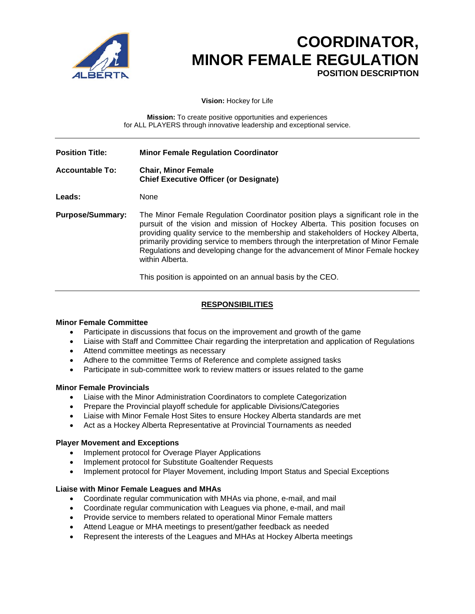

# **COORDINATOR, MINOR FEMALE REGULATION**<br>POSITION DESCRIPTION

**Vision:** Hockey for Life

**Mission:** To create positive opportunities and experiences for ALL PLAYERS through innovative leadership and exceptional service.

| <b>Position Title:</b> | <b>Minor Female Regulation Coordinator</b>                                                                                                                                                                                                                                                                                                                                                                                                   |
|------------------------|----------------------------------------------------------------------------------------------------------------------------------------------------------------------------------------------------------------------------------------------------------------------------------------------------------------------------------------------------------------------------------------------------------------------------------------------|
| <b>Accountable To:</b> | <b>Chair, Minor Female</b><br><b>Chief Executive Officer (or Designate)</b>                                                                                                                                                                                                                                                                                                                                                                  |
| <b>Leads:</b>          | None                                                                                                                                                                                                                                                                                                                                                                                                                                         |
| Purpose/Summary:       | The Minor Female Regulation Coordinator position plays a significant role in the<br>pursuit of the vision and mission of Hockey Alberta. This position focuses on<br>providing quality service to the membership and stakeholders of Hockey Alberta,<br>primarily providing service to members through the interpretation of Minor Female<br>Regulations and developing change for the advancement of Minor Female hockey<br>within Alberta. |
|                        | ┯╟╹╴╶╶╶╹╹╶╶╶╶╶╶╶╶╶╶╹╶╹╶╶╶╶╶╶╶╶╶╹╹╶╶╹╹╶ <b>╵</b> ╹╹╷                                                                                                                                                                                                                                                                                                                                                                                          |

This position is appointed on an annual basis by the CEO.

# **RESPONSIBILITIES**

### **Minor Female Committee**

- Participate in discussions that focus on the improvement and growth of the game
- Liaise with Staff and Committee Chair regarding the interpretation and application of Regulations
- Attend committee meetings as necessary
- Adhere to the committee Terms of Reference and complete assigned tasks
- Participate in sub-committee work to review matters or issues related to the game

### **Minor Female Provincials**

- Liaise with the Minor Administration Coordinators to complete Categorization
- Prepare the Provincial playoff schedule for applicable Divisions/Categories
- Liaise with Minor Female Host Sites to ensure Hockey Alberta standards are met
- Act as a Hockey Alberta Representative at Provincial Tournaments as needed

## **Player Movement and Exceptions**

- Implement protocol for Overage Player Applications
- Implement protocol for Substitute Goaltender Requests
- Implement protocol for Player Movement, including Import Status and Special Exceptions

### **Liaise with Minor Female Leagues and MHAs**

- Coordinate regular communication with MHAs via phone, e-mail, and mail
- Coordinate regular communication with Leagues via phone, e-mail, and mail
- Provide service to members related to operational Minor Female matters
- Attend League or MHA meetings to present/gather feedback as needed
- Represent the interests of the Leagues and MHAs at Hockey Alberta meetings